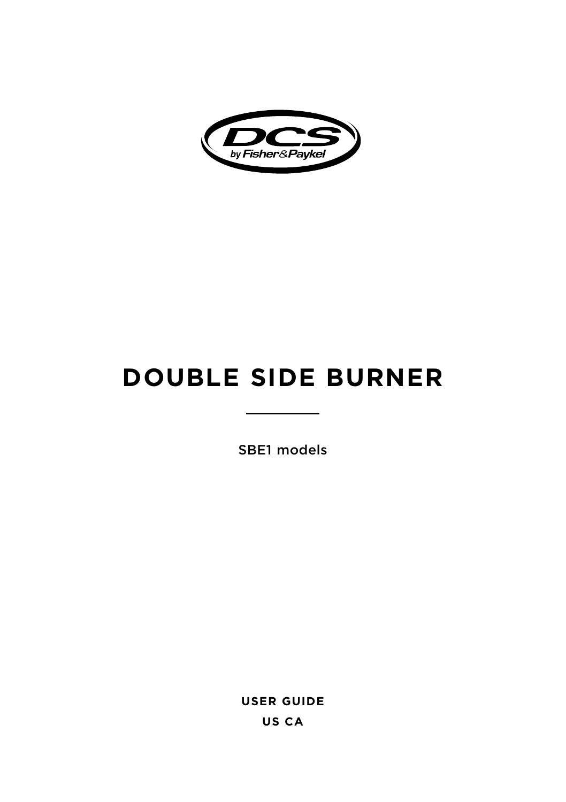

# **DOUBLE SIDE BURNER**

SBE1 models

**USER GUIDE US CA**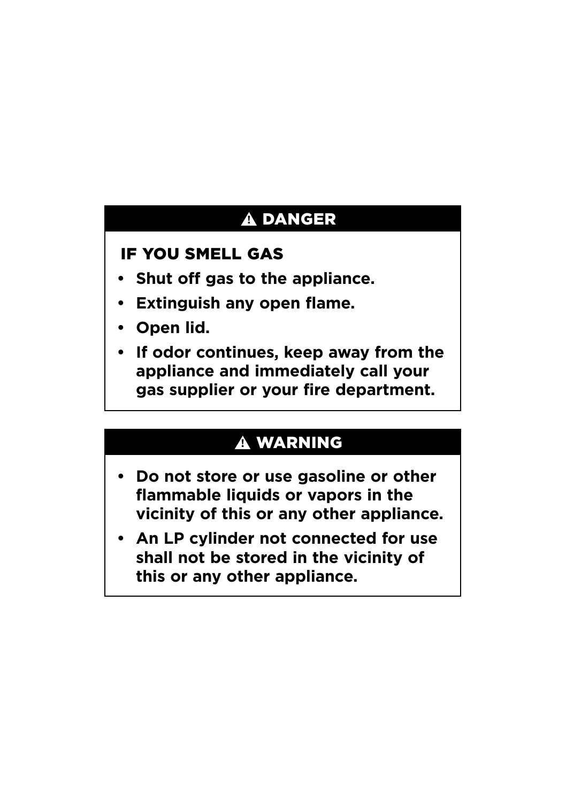# **!** DANGER

### IF YOU SMELL GAS

- **• Shut off gas to the appliance.**
- **• Extinguish any open flame.**
- **• Open lid.**
- **• If odor continues, keep away from the appliance and immediately call your gas supplier or your fire department.**

### **!** WARNING

- **• Do not store or use gasoline or other flammable liquids or vapors in the vicinity of this or any other appliance.**
- **• An LP cylinder not connected for use shall not be stored in the vicinity of this or any other appliance.**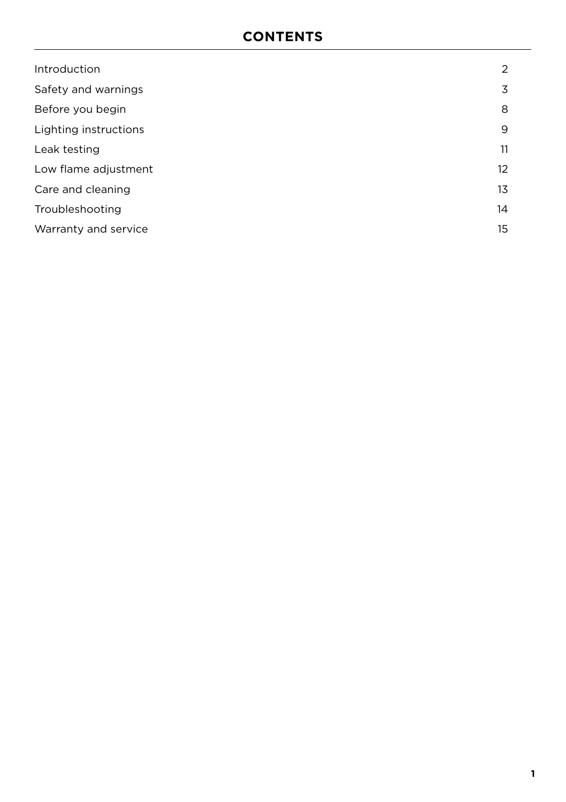| Introduction          | 2               |
|-----------------------|-----------------|
| Safety and warnings   | 3               |
| Before you begin      | 8               |
| Lighting instructions | 9               |
| Leak testing          | 11              |
| Low flame adjustment  | 12 <sup>2</sup> |
| Care and cleaning     | 13              |
| Troubleshooting       | 14              |
| Warranty and service  | 15              |
|                       |                 |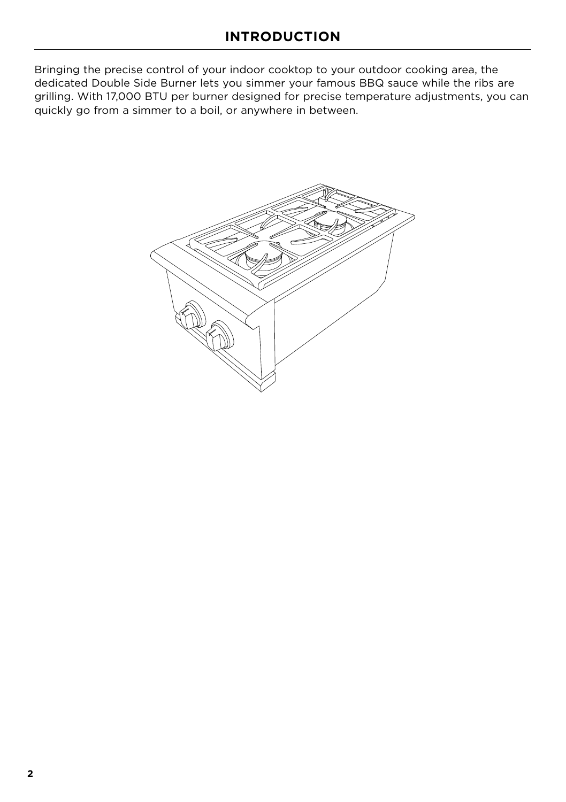<span id="page-3-0"></span>Bringing the precise control of your indoor cooktop to your outdoor cooking area, the dedicated Double Side Burner lets you simmer your famous BBQ sauce while the ribs are grilling. With 17,000 BTU per burner designed for precise temperature adjustments, you can quickly go from a simmer to a boil, or anywhere in between.

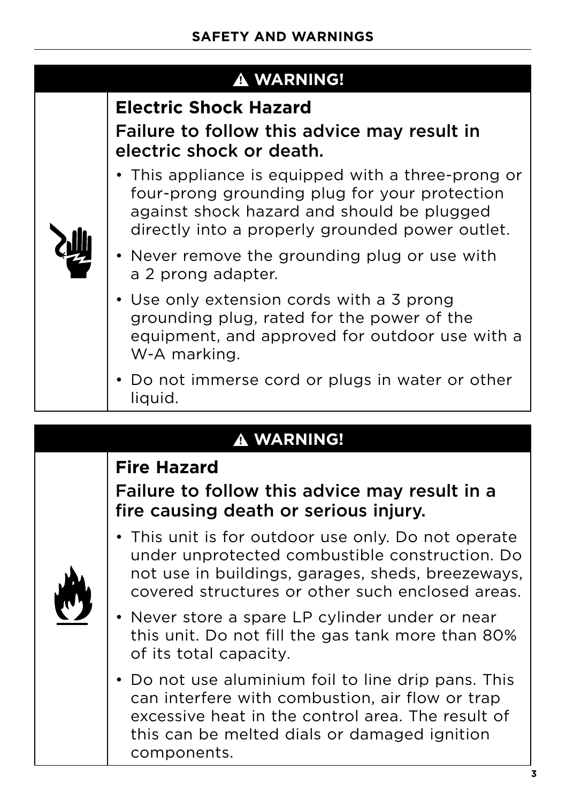<span id="page-4-0"></span>

|  | <b>A WARNING!</b>                                                                                                                                                                                    |
|--|------------------------------------------------------------------------------------------------------------------------------------------------------------------------------------------------------|
|  | <b>Electric Shock Hazard</b>                                                                                                                                                                         |
|  | Failure to follow this advice may result in<br>electric shock or death.                                                                                                                              |
|  | • This appliance is equipped with a three-prong or<br>four-prong grounding plug for your protection<br>against shock hazard and should be plugged<br>directly into a properly grounded power outlet. |
|  | • Never remove the grounding plug or use with<br>a 2 prong adapter.                                                                                                                                  |
|  | • Use only extension cords with a 3 prong<br>grounding plug, rated for the power of the<br>equipment, and approved for outdoor use with a<br>W-A marking.                                            |
|  | • Do not immerse cord or plugs in water or other<br>liquid.                                                                                                                                          |

### **! WARNING!**

### **Fire Hazard**

### Failure to follow this advice may result in a fire causing death or serious injury.

- This unit is for outdoor use only. Do not operate under unprotected combustible construction. Do not use in buildings, garages, sheds, breezeways, covered structures or other such enclosed areas.
- Never store a spare LP cylinder under or near this unit. Do not fill the gas tank more than 80% of its total capacity.
- Do not use aluminium foil to line drip pans. This can interfere with combustion, air flow or trap excessive heat in the control area. The result of this can be melted dials or damaged ignition components.



**3**

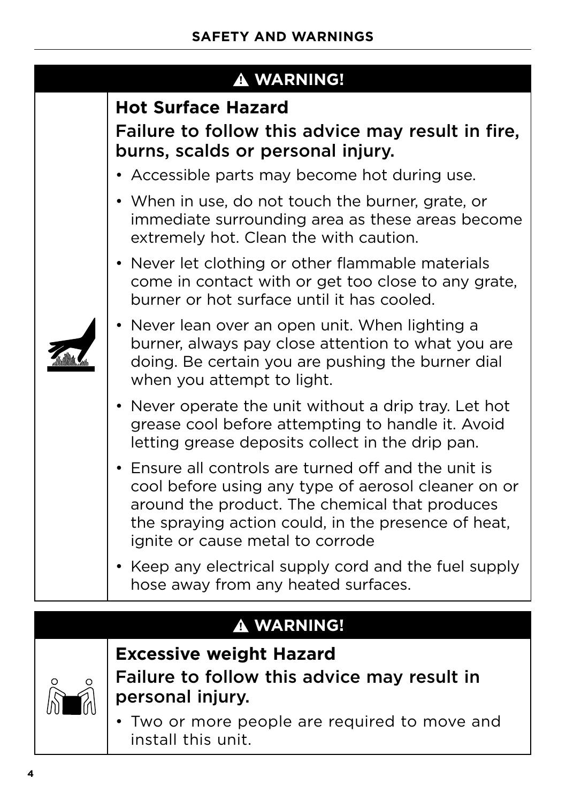|  | <b>A WARNING!</b>                                                                                                                                                                                                                                        |  |  |  |
|--|----------------------------------------------------------------------------------------------------------------------------------------------------------------------------------------------------------------------------------------------------------|--|--|--|
|  | <b>Hot Surface Hazard</b><br>Failure to follow this advice may result in fire,<br>burns, scalds or personal injury.                                                                                                                                      |  |  |  |
|  | • Accessible parts may become hot during use.                                                                                                                                                                                                            |  |  |  |
|  | • When in use, do not touch the burner, grate, or<br>immediate surrounding area as these areas become<br>extremely hot. Clean the with caution.                                                                                                          |  |  |  |
|  | • Never let clothing or other flammable materials<br>come in contact with or get too close to any grate,<br>burner or hot surface until it has cooled.                                                                                                   |  |  |  |
|  | • Never lean over an open unit. When lighting a<br>burner, always pay close attention to what you are<br>doing. Be certain you are pushing the burner dial<br>when you attempt to light.                                                                 |  |  |  |
|  | • Never operate the unit without a drip tray. Let hot<br>grease cool before attempting to handle it. Avoid<br>letting grease deposits collect in the drip pan.                                                                                           |  |  |  |
|  | • Ensure all controls are turned off and the unit is<br>cool before using any type of aerosol cleaner on or<br>around the product. The chemical that produces<br>the spraying action could, in the presence of heat,<br>ignite or cause metal to corrode |  |  |  |
|  | • Keep any electrical supply cord and the fuel supply<br>hose away from any heated surfaces.                                                                                                                                                             |  |  |  |

## **! WARNING!**



**Excessive weight Hazard** Failure to follow this advice may result in personal injury.

• Two or more people are required to move and install this unit.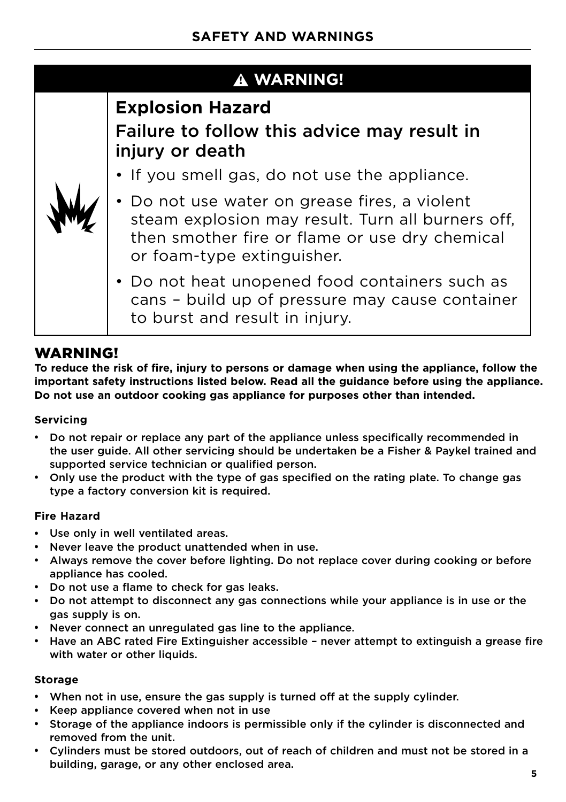| <b>A WARNING!</b> |                                                                                                                                                                                    |  |  |
|-------------------|------------------------------------------------------------------------------------------------------------------------------------------------------------------------------------|--|--|
|                   | <b>Explosion Hazard</b><br>Failure to follow this advice may result in<br>injury or death                                                                                          |  |  |
|                   | • If you smell gas, do not use the appliance.                                                                                                                                      |  |  |
|                   | • Do not use water on grease fires, a violent<br>steam explosion may result. Turn all burners off,<br>then smother fire or flame or use dry chemical<br>or foam-type extinguisher. |  |  |
|                   | • Do not heat unopened food containers such as<br>cans - build up of pressure may cause container<br>to burst and result in injury.                                                |  |  |

### WARNING!

**To reduce the risk of fire, injury to persons or damage when using the appliance, follow the important safety instructions listed below. Read all the guidance before using the appliance. Do not use an outdoor cooking gas appliance for purposes other than intended.**

#### **Servicing**

- Do not repair or replace any part of the appliance unless specifically recommended in the user guide. All other servicing should be undertaken be a Fisher & Paykel trained and supported service technician or qualified person.
- Only use the product with the type of gas specified on the rating plate. To change gas type a factory conversion kit is required.

#### **Fire Hazard**

- Use only in well ventilated areas.
- Never leave the product unattended when in use.
- Always remove the cover before lighting. Do not replace cover during cooking or before appliance has cooled.
- Do not use a flame to check for gas leaks.
- Do not attempt to disconnect any gas connections while your appliance is in use or the gas supply is on.
- Never connect an unregulated gas line to the appliance.
- Have an ABC rated Fire Extinguisher accessible never attempt to extinguish a grease fire with water or other liquids.

#### **Storage**

- When not in use, ensure the gas supply is turned off at the supply cylinder.
- Keep appliance covered when not in use
- Storage of the appliance indoors is permissible only if the cylinder is disconnected and removed from the unit.
- Cylinders must be stored outdoors, out of reach of children and must not be stored in a building, garage, or any other enclosed area.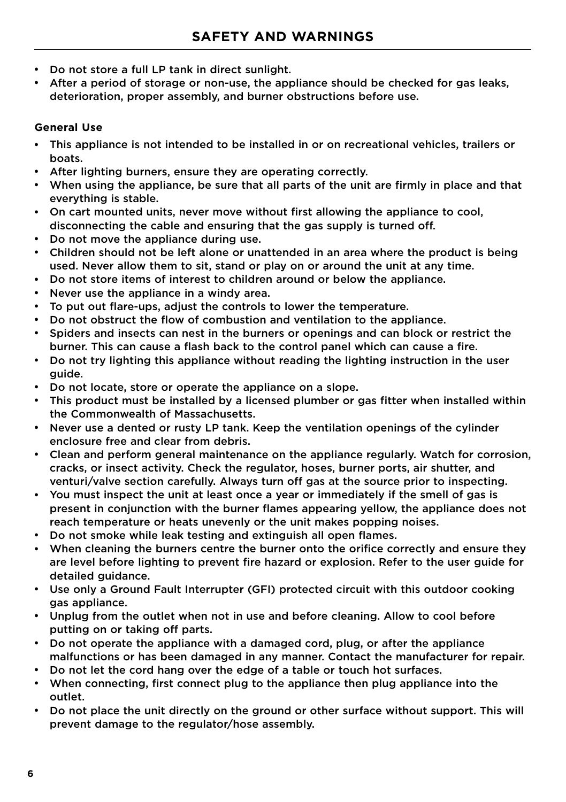- Do not store a full LP tank in direct sunlight.
- After a period of storage or non-use, the appliance should be checked for gas leaks, deterioration, proper assembly, and burner obstructions before use.

#### **General Use**

- This appliance is not intended to be installed in or on recreational vehicles, trailers or boats.
- After lighting burners, ensure they are operating correctly.
- When using the appliance, be sure that all parts of the unit are firmly in place and that everything is stable.
- On cart mounted units, never move without first allowing the appliance to cool, disconnecting the cable and ensuring that the gas supply is turned off.
- Do not move the appliance during use.
- Children should not be left alone or unattended in an area where the product is being used. Never allow them to sit, stand or play on or around the unit at any time.
- Do not store items of interest to children around or below the appliance.
- Never use the appliance in a windy area.
- To put out flare-ups, adjust the controls to lower the temperature.
- Do not obstruct the flow of combustion and ventilation to the appliance.
- Spiders and insects can nest in the burners or openings and can block or restrict the burner. This can cause a flash back to the control panel which can cause a fire.
- Do not try lighting this appliance without reading the lighting instruction in the user guide.
- Do not locate, store or operate the appliance on a slope.
- This product must be installed by a licensed plumber or gas fitter when installed within the Commonwealth of Massachusetts.
- Never use a dented or rusty LP tank. Keep the ventilation openings of the cylinder enclosure free and clear from debris.
- Clean and perform general maintenance on the appliance regularly. Watch for corrosion, cracks, or insect activity. Check the regulator, hoses, burner ports, air shutter, and venturi/valve section carefully. Always turn off gas at the source prior to inspecting.
- You must inspect the unit at least once a year or immediately if the smell of gas is present in conjunction with the burner flames appearing yellow, the appliance does not reach temperature or heats unevenly or the unit makes popping noises.
- Do not smoke while leak testing and extinguish all open flames.
- When cleaning the burners centre the burner onto the orifice correctly and ensure they are level before lighting to prevent fire hazard or explosion. Refer to the user guide for detailed guidance.
- Use only a Ground Fault Interrupter (GFI) protected circuit with this outdoor cooking gas appliance.
- Unplug from the outlet when not in use and before cleaning. Allow to cool before putting on or taking off parts.
- Do not operate the appliance with a damaged cord, plug, or after the appliance malfunctions or has been damaged in any manner. Contact the manufacturer for repair.
- Do not let the cord hang over the edge of a table or touch hot surfaces.
- When connecting, first connect plug to the appliance then plug appliance into the outlet.
- Do not place the unit directly on the ground or other surface without support. This will prevent damage to the regulator/hose assembly.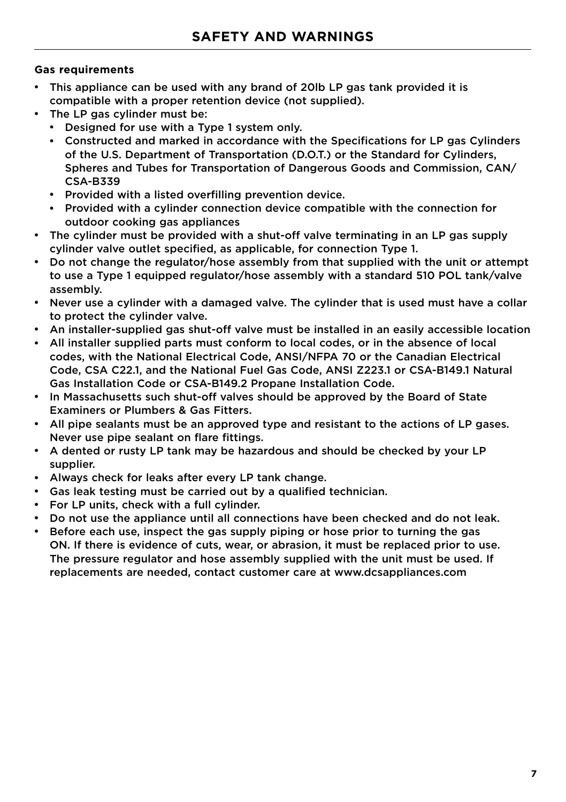#### **Gas requirements**

- This appliance can be used with any brand of 20lb LP gas tank provided it is compatible with a proper retention device (not supplied).
- The LP gas cylinder must be:
	- Designed for use with a Type 1 system only.
		- Constructed and marked in accordance with the Specifications for LP gas Cylinders of the U.S. Department of Transportation (D.O.T.) or the Standard for Cylinders, Spheres and Tubes for Transportation of Dangerous Goods and Commission, CAN/ CSA-B339
		- Provided with a listed overfilling prevention device.
		- Provided with a cylinder connection device compatible with the connection for outdoor cooking gas appliances
- The cylinder must be provided with a shut-off valve terminating in an LP gas supply cylinder valve outlet specified, as applicable, for connection Type 1.
- Do not change the regulator/hose assembly from that supplied with the unit or attempt to use a Type 1 equipped regulator/hose assembly with a standard 510 POL tank/valve assembly.
- Never use a cylinder with a damaged valve. The cylinder that is used must have a collar to protect the cylinder valve.
- An installer-supplied gas shut-off valve must be installed in an easily accessible location
- All installer supplied parts must conform to local codes, or in the absence of local codes, with the National Electrical Code, ANSI/NFPA 70 or the Canadian Electrical Code, CSA C22.1, and the National Fuel Gas Code, ANSI Z223.1 or CSA-B149.1 Natural Gas Installation Code or CSA-B149.2 Propane Installation Code.
- In Massachusetts such shut-off valves should be approved by the Board of State Examiners or Plumbers & Gas Fitters.
- All pipe sealants must be an approved type and resistant to the actions of LP gases. Never use pipe sealant on flare fittings.
- A dented or rusty LP tank may be hazardous and should be checked by your LP supplier.
- Always check for leaks after every LP tank change.
- Gas leak testing must be carried out by a qualified technician.
- For LP units, check with a full cylinder.
- Do not use the appliance until all connections have been checked and do not leak.
- Before each use, inspect the gas supply piping or hose prior to turning the gas ON. If there is evidence of cuts, wear, or abrasion, it must be replaced prior to use. The pressure regulator and hose assembly supplied with the unit must be used. If replacements are needed, contact customer care at www.dcsappliances.com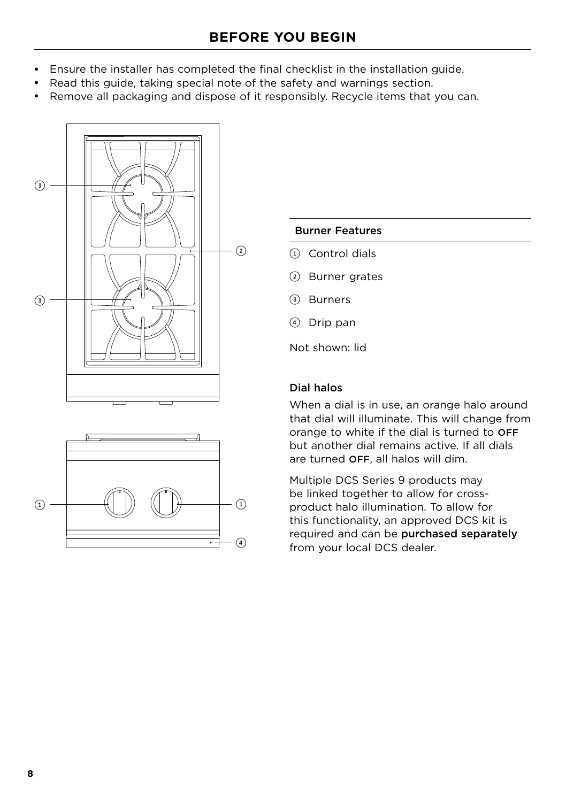- <span id="page-9-0"></span>• Ensure the installer has completed the final checklist in the installation guide.
- Read this guide, taking special note of the safety and warnings section.
- Remove all packaging and dispose of it responsibly. Recycle items that you can.





- 1 Control dials
- 2 Burner grates
- 3 Burners
- 4 Drip pan

Not shown: lid

#### Dial halos

When a dial is in use, an orange halo around that dial will illuminate. This will change from orange to white if the dial is turned to OFF but another dial remains active. If all dials are turned OFF, all halos will dim.

Multiple DCS Series 9 products may be linked together to allow for crossproduct halo illumination. To allow for this functionality, an approved DCS kit is required and can be purchased separately from your local DCS dealer.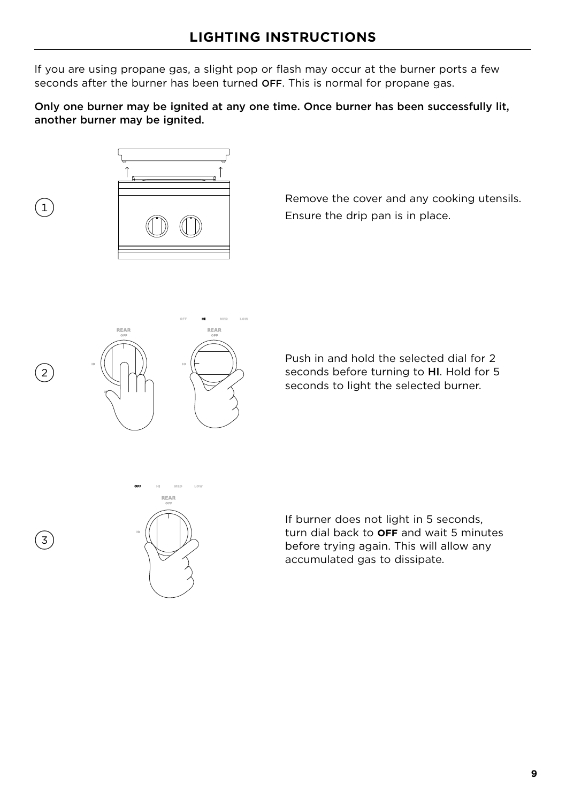<span id="page-10-0"></span>If you are using propane gas, a slight pop or flash may occur at the burner ports a few seconds after the burner has been turned OFF. This is normal for propane gas.

Only one burner may be ignited at any one time. Once burner has been successfully lit, another burner may be ignited.



 $\left(1\right)$ 

2

 $\left(3\right)$ 

Remove the cover and any cooking utensils. Ensure the drip pan is in place.



Push in and hold the selected dial for 2 seconds before turning to HI. Hold for 5 seconds to light the selected burner.



If burner does not light in 5 seconds, turn dial back to **OFF** and wait 5 minutes before trying again. This will allow any accumulated gas to dissipate.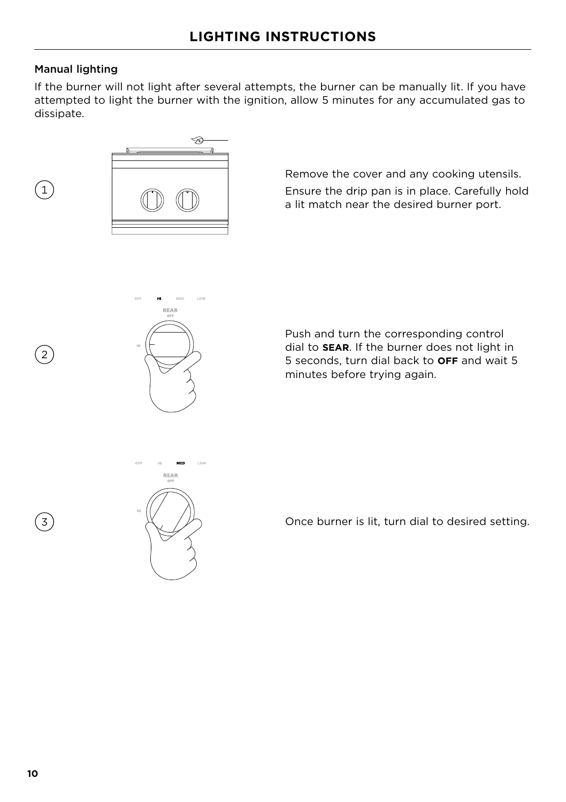#### Manual lighting

 $\left( 2\right)$ 

 $\left(3\right)$ 

 $\left( 1\right)$ 

If the burner will not light after several attempts, the burner can be manually lit. If you have attempted to light the burner with the ignition, allow 5 minutes for any accumulated gas to dissipate.



Remove the cover and any cooking utensils. Ensure the drip pan is in place. Carefully hold a lit match near the desired burner port.



Push and turn the corresponding control dial to **SEAR**. If the burner does not light in 5 seconds, turn dial back to **OFF** and wait 5 minutes before trying again.



Once burner is lit, turn dial to desired setting.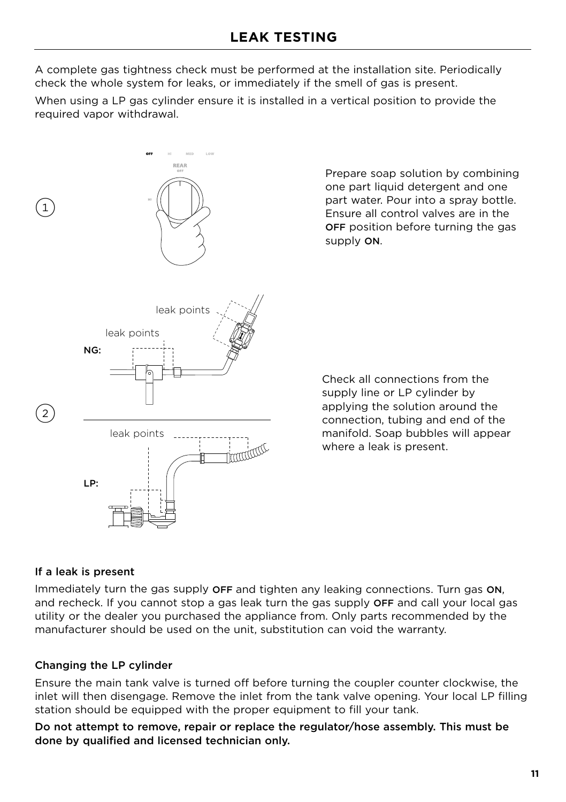<span id="page-12-0"></span>A complete gas tightness check must be performed at the installation site. Periodically check the whole system for leaks, or immediately if the smell of gas is present.

When using a LP gas cylinder ensure it is installed in a vertical position to provide the required vapor withdrawal.



Prepare soap solution by combining one part liquid detergent and one part water. Pour into a spray bottle. Ensure all control valves are in the OFF position before turning the gas supply ON.

Check all connections from the supply line or LP cylinder by applying the solution around the connection, tubing and end of the manifold. Soap bubbles will appear where a leak is present.

#### If a leak is present

Immediately turn the gas supply OFF and tighten any leaking connections. Turn gas ON, and recheck. If you cannot stop a gas leak turn the gas supply OFF and call your local gas utility or the dealer you purchased the appliance from. Only parts recommended by the manufacturer should be used on the unit, substitution can void the warranty.

#### Changing the LP cylinder

Ensure the main tank valve is turned off before turning the coupler counter clockwise, the inlet will then disengage. Remove the inlet from the tank valve opening. Your local LP filling station should be equipped with the proper equipment to fill your tank.

Do not attempt to remove, repair or replace the regulator/hose assembly. This must be done by qualified and licensed technician only.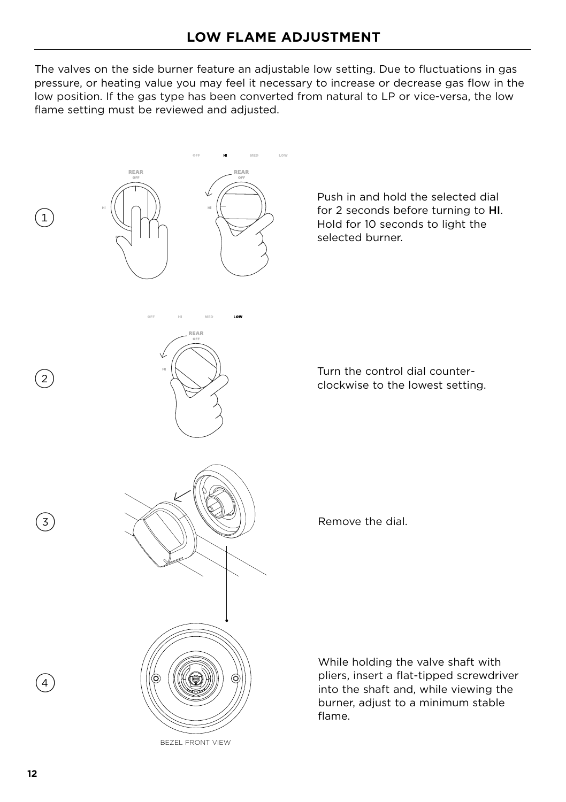<span id="page-13-1"></span><span id="page-13-0"></span>The valves on the side burner feature an adjustable low setting. Due to fluctuations in gas pressure, or heating value you may feel it necessary to increase or decrease gas flow in the low position. If the gas type has been converted from natural to LP or vice-versa, the low flame setting must be reviewed and adjusted.

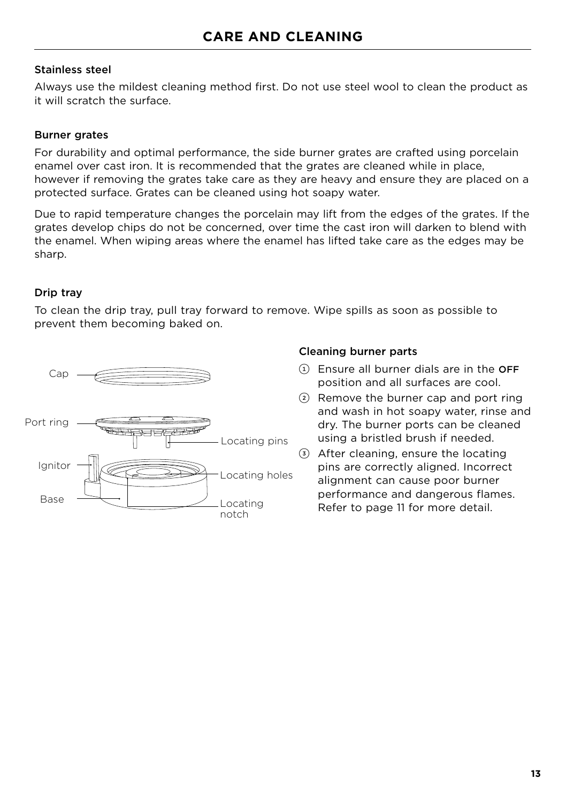#### <span id="page-14-0"></span>Stainless steel

Always use the mildest cleaning method first. Do not use steel wool to clean the product as it will scratch the surface.

#### Burner grates

For durability and optimal performance, the side burner grates are crafted using porcelain enamel over cast iron. It is recommended that the grates are cleaned while in place, however if removing the grates take care as they are heavy and ensure they are placed on a protected surface. Grates can be cleaned using hot soapy water.

Due to rapid temperature changes the porcelain may lift from the edges of the grates. If the grates develop chips do not be concerned, over time the cast iron will darken to blend with the enamel. When wiping areas where the enamel has lifted take care as the edges may be sharp.

#### Drip tray

To clean the drip tray, pull tray forward to remove. Wipe spills as soon as possible to prevent them becoming baked on.



#### Cleaning burner parts

- $(1)$  Ensure all burner dials are in the OFF position and all surfaces are cool.
- 2 Remove the burner cap and port ring and wash in hot soapy water, rinse and dry. The burner ports can be cleaned using a bristled brush if needed.
- 3 After cleaning, ensure the locating pins are correctly aligned. Incorrect alignment can cause poor burner performance and dangerous flames. Refer to page 11 for more detail.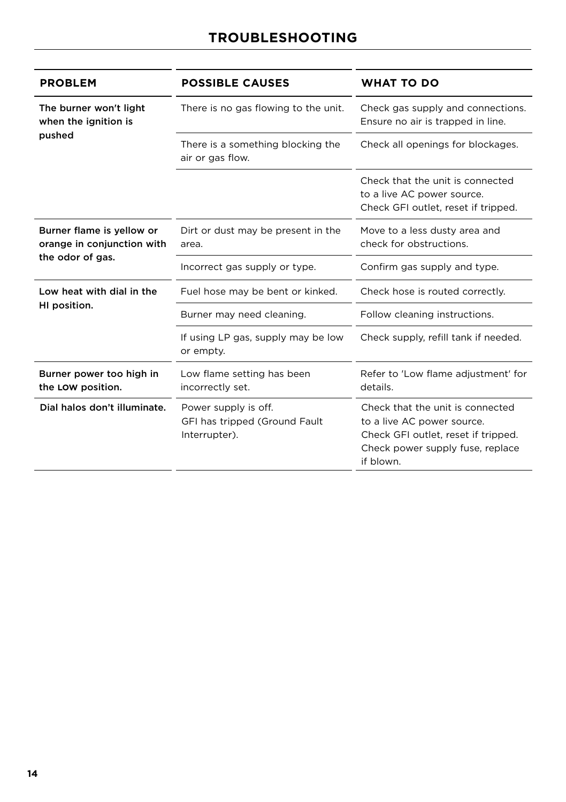<span id="page-15-0"></span>

| <b>PROBLEM</b>                                          | <b>POSSIBLE CAUSES</b>                                                 | <b>WHAT TO DO</b>                                                                                                                                      |
|---------------------------------------------------------|------------------------------------------------------------------------|--------------------------------------------------------------------------------------------------------------------------------------------------------|
| The burner won't light<br>when the ignition is          | There is no gas flowing to the unit.                                   | Check gas supply and connections.<br>Ensure no air is trapped in line.                                                                                 |
| pushed                                                  | There is a something blocking the<br>air or gas flow.                  | Check all openings for blockages.                                                                                                                      |
|                                                         |                                                                        | Check that the unit is connected<br>to a live AC power source.<br>Check GFI outlet, reset if tripped.                                                  |
| Burner flame is yellow or<br>orange in conjunction with | Dirt or dust may be present in the<br>area.                            | Move to a less dusty area and<br>check for obstructions.                                                                                               |
| the odor of gas.                                        | Incorrect gas supply or type.                                          | Confirm gas supply and type.                                                                                                                           |
| Low heat with dial in the                               | Fuel hose may be bent or kinked.                                       | Check hose is routed correctly.                                                                                                                        |
| HI position.                                            | Burner may need cleaning.                                              | Follow cleaning instructions.                                                                                                                          |
|                                                         | If using LP gas, supply may be low<br>or empty.                        | Check supply, refill tank if needed.                                                                                                                   |
| Burner power too high in<br>the LOW position.           | Low flame setting has been<br>incorrectly set.                         | Refer to 'Low flame adjustment' for<br>details.                                                                                                        |
| Dial halos don't illuminate.                            | Power supply is off.<br>GFI has tripped (Ground Fault<br>Interrupter). | Check that the unit is connected<br>to a live AC power source.<br>Check GFI outlet, reset if tripped.<br>Check power supply fuse, replace<br>if blown. |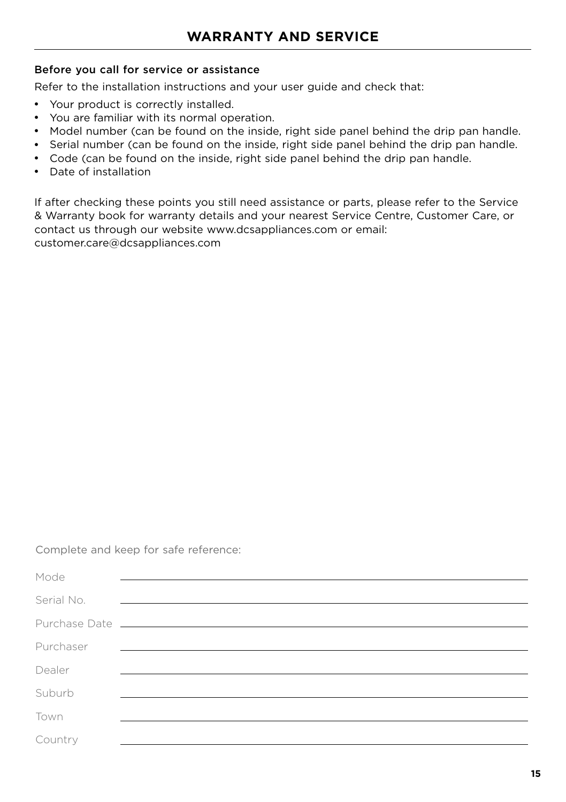#### <span id="page-16-0"></span>Before you call for service or assistance

Refer to the installation instructions and your user guide and check that:

- Your product is correctly installed.
- You are familiar with its normal operation.
- Model number (can be found on the inside, right side panel behind the drip pan handle.
- Serial number (can be found on the inside, right side panel behind the drip pan handle.
- Code (can be found on the inside, right side panel behind the drip pan handle.
- Date of installation

If after checking these points you still need assistance or parts, please refer to the Service & Warranty book for warranty details and your nearest Service Centre, Customer Care, or contact us through our website www.dcsappliances.com or email: customer.care@dcsappliances.com

Complete and keep for safe reference:

| Mode       |                                                                                                                       |
|------------|-----------------------------------------------------------------------------------------------------------------------|
| Serial No. | <u> 1980 - Jan Alexandri, martin amerikan basar personal dan berasal dan berasal dan berasal dan berasal dan bera</u> |
|            |                                                                                                                       |
| Purchaser  | <u> 1989 - Johann Harry Harry Harry Harry Harry Harry Harry Harry Harry Harry Harry Harry Harry Harry Harry Harry</u> |
| Dealer     |                                                                                                                       |
| Suburb     |                                                                                                                       |
| Town       |                                                                                                                       |
| Country    |                                                                                                                       |